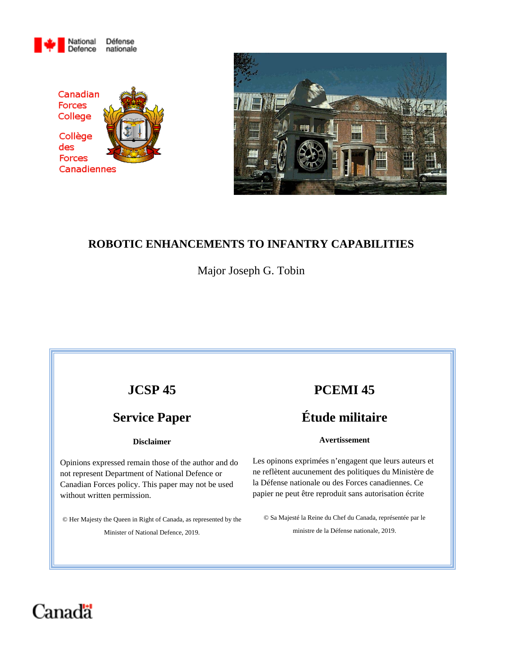





## **ROBOTIC ENHANCEMENTS TO INFANTRY CAPABILITIES**

Major Joseph G. Tobin

# **JCSP 45**

# **Service Paper**

#### **Disclaimer**

Opinions expressed remain those of the author and do not represent Department of National Defence or Canadian Forces policy. This paper may not be used without written permission.

© Her Majesty the Queen in Right of Canada, as represented by the Minister of National Defence, 2019.

# **PCEMI 45**

# **Étude militaire**

#### **Avertissement**

Les opinons exprimées n'engagent que leurs auteurs et ne reflètent aucunement des politiques du Ministère de la Défense nationale ou des Forces canadiennes. Ce papier ne peut être reproduit sans autorisation écrite

© Sa Majesté la Reine du Chef du Canada, représentée par le ministre de la Défense nationale, 2019.

# Canadä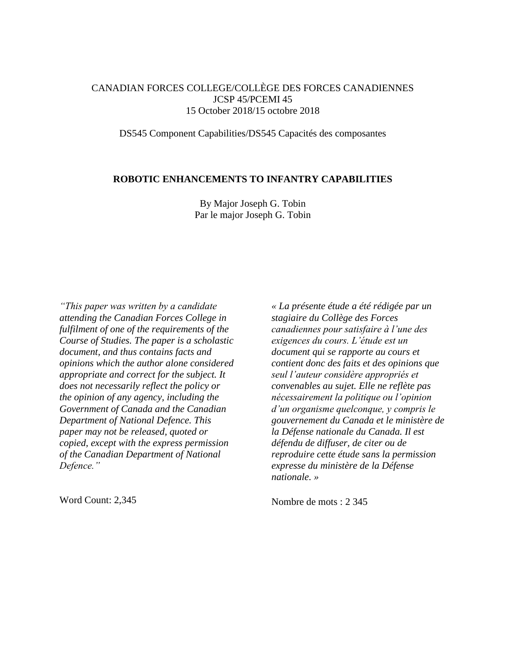#### CANADIAN FORCES COLLEGE/COLLÈGE DES FORCES CANADIENNES JCSP 45/PCEMI 45 15 October 2018/15 octobre 2018

DS545 Component Capabilities/DS545 Capacités des composantes

#### **ROBOTIC ENHANCEMENTS TO INFANTRY CAPABILITIES**

By Major Joseph G. Tobin Par le major Joseph G. Tobin

*"This paper was written by a candidate attending the Canadian Forces College in fulfilment of one of the requirements of the Course of Studies. The paper is a scholastic document, and thus contains facts and opinions which the author alone considered appropriate and correct for the subject. It does not necessarily reflect the policy or the opinion of any agency, including the Government of Canada and the Canadian Department of National Defence. This paper may not be released, quoted or copied, except with the express permission of the Canadian Department of National Defence."* 

Word Count: 2,345

*« La présente étude a été rédigée par un stagiaire du Collège des Forces canadiennes pour satisfaire à l'une des exigences du cours. L'étude est un document qui se rapporte au cours et contient donc des faits et des opinions que seul l'auteur considère appropriés et convenables au sujet. Elle ne reflète pas nécessairement la politique ou l'opinion d'un organisme quelconque, y compris le gouvernement du Canada et le ministère de la Défense nationale du Canada. Il est défendu de diffuser, de citer ou de reproduire cette étude sans la permission expresse du ministère de la Défense nationale. »* 

Nombre de mots : 2 345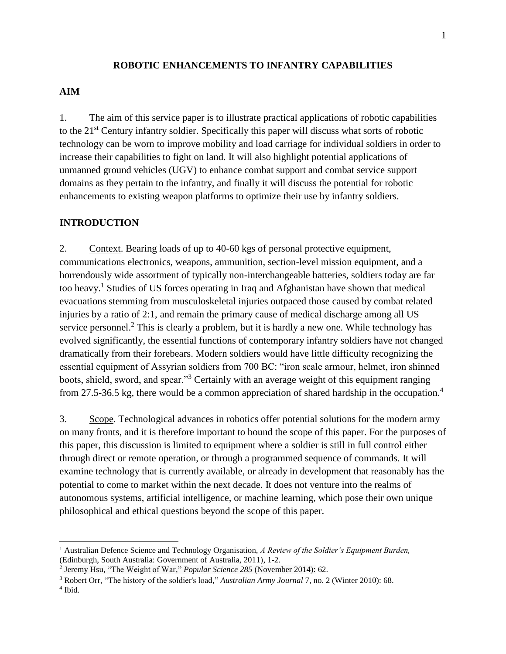#### **ROBOTIC ENHANCEMENTS TO INFANTRY CAPABILITIES**

#### **AIM**

1. The aim of this service paper is to illustrate practical applications of robotic capabilities to the 21st Century infantry soldier. Specifically this paper will discuss what sorts of robotic technology can be worn to improve mobility and load carriage for individual soldiers in order to increase their capabilities to fight on land. It will also highlight potential applications of unmanned ground vehicles (UGV) to enhance combat support and combat service support domains as they pertain to the infantry, and finally it will discuss the potential for robotic enhancements to existing weapon platforms to optimize their use by infantry soldiers.

#### **INTRODUCTION**

2. Context. Bearing loads of up to 40-60 kgs of personal protective equipment, communications electronics, weapons, ammunition, section-level mission equipment, and a horrendously wide assortment of typically non-interchangeable batteries, soldiers today are far too heavy.<sup>1</sup> Studies of US forces operating in Iraq and Afghanistan have shown that medical evacuations stemming from musculoskeletal injuries outpaced those caused by combat related injuries by a ratio of 2:1, and remain the primary cause of medical discharge among all US service personnel.<sup>2</sup> This is clearly a problem, but it is hardly a new one. While technology has evolved significantly, the essential functions of contemporary infantry soldiers have not changed dramatically from their forebears. Modern soldiers would have little difficulty recognizing the essential equipment of Assyrian soldiers from 700 BC: "iron scale armour, helmet, iron shinned boots, shield, sword, and spear."<sup>3</sup> Certainly with an average weight of this equipment ranging from 27.5-36.5 kg, there would be a common appreciation of shared hardship in the occupation.<sup>4</sup>

3. Scope. Technological advances in robotics offer potential solutions for the modern army on many fronts, and it is therefore important to bound the scope of this paper. For the purposes of this paper, this discussion is limited to equipment where a soldier is still in full control either through direct or remote operation, or through a programmed sequence of commands. It will examine technology that is currently available, or already in development that reasonably has the potential to come to market within the next decade. It does not venture into the realms of autonomous systems, artificial intelligence, or machine learning, which pose their own unique philosophical and ethical questions beyond the scope of this paper.

 $\overline{\phantom{a}}$ 

<sup>1</sup> Australian Defence Science and Technology Organisation, *A Review of the Soldier's Equipment Burden,* (Edinburgh, South Australia: Government of Australia, 2011), 1-2.

<sup>2</sup> Jeremy Hsu, "The Weight of War," *Popular Science 285* (November 2014): 62.

<sup>3</sup> Robert Orr, "The history of the soldier's load," *Australian Army Journal* 7, no. 2 (Winter 2010): 68.

<sup>4</sup> Ibid.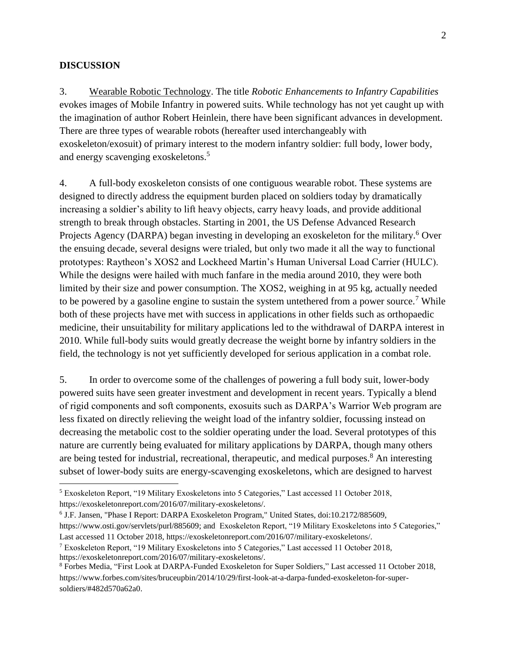#### **DISCUSSION**

l

3. Wearable Robotic Technology. The title *Robotic Enhancements to Infantry Capabilities* evokes images of Mobile Infantry in powered suits. While technology has not yet caught up with the imagination of author Robert Heinlein, there have been significant advances in development. There are three types of wearable robots (hereafter used interchangeably with exoskeleton/exosuit) of primary interest to the modern infantry soldier: full body, lower body, and energy scavenging exoskeletons.<sup>5</sup>

4. A full-body exoskeleton consists of one contiguous wearable robot. These systems are designed to directly address the equipment burden placed on soldiers today by dramatically increasing a soldier's ability to lift heavy objects, carry heavy loads, and provide additional strength to break through obstacles. Starting in 2001, the US Defense Advanced Research Projects Agency (DARPA) began investing in developing an exoskeleton for the military.<sup>6</sup> Over the ensuing decade, several designs were trialed, but only two made it all the way to functional prototypes: Raytheon's XOS2 and Lockheed Martin's Human Universal Load Carrier (HULC). While the designs were hailed with much fanfare in the media around 2010, they were both limited by their size and power consumption. The XOS2, weighing in at 95 kg, actually needed to be powered by a gasoline engine to sustain the system untethered from a power source.<sup>7</sup> While both of these projects have met with success in applications in other fields such as orthopaedic medicine, their unsuitability for military applications led to the withdrawal of DARPA interest in 2010. While full-body suits would greatly decrease the weight borne by infantry soldiers in the field, the technology is not yet sufficiently developed for serious application in a combat role.

5. In order to overcome some of the challenges of powering a full body suit, lower-body powered suits have seen greater investment and development in recent years. Typically a blend of rigid components and soft components, exosuits such as DARPA's Warrior Web program are less fixated on directly relieving the weight load of the infantry soldier, focussing instead on decreasing the metabolic cost to the soldier operating under the load. Several prototypes of this nature are currently being evaluated for military applications by DARPA, though many others are being tested for industrial, recreational, therapeutic, and medical purposes. <sup>8</sup> An interesting subset of lower-body suits are energy-scavenging exoskeletons, which are designed to harvest

<sup>5</sup> Exoskeleton Report, "19 Military Exoskeletons into 5 Categories," Last accessed 11 October 2018, https://exoskeletonreport.com/2016/07/military-exoskeletons/.

<sup>6</sup> J.F. Jansen, "Phase I Report: DARPA Exoskeleton Program," United States, doi:10.2172/885609,

https://www.osti.gov/servlets/purl/885609; and Exoskeleton Report, "19 Military Exoskeletons into 5 Categories," Last accessed 11 October 2018, https://exoskeletonreport.com/2016/07/military-exoskeletons/.

<sup>7</sup> Exoskeleton Report, "19 Military Exoskeletons into 5 Categories," Last accessed 11 October 2018, https://exoskeletonreport.com/2016/07/military-exoskeletons/.

<sup>8</sup> Forbes Media, "First Look at DARPA-Funded Exoskeleton for Super Soldiers," Last accessed 11 October 2018, https://www.forbes.com/sites/bruceupbin/2014/10/29/first-look-at-a-darpa-funded-exoskeleton-for-supersoldiers/#482d570a62a0.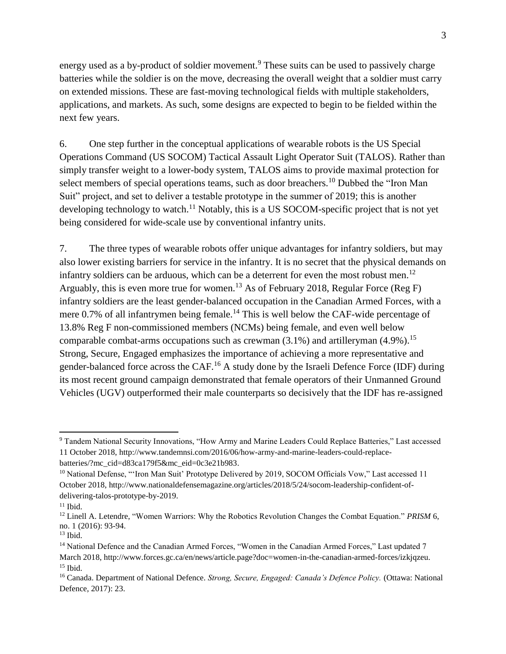energy used as a by-product of soldier movement.<sup>9</sup> These suits can be used to passively charge batteries while the soldier is on the move, decreasing the overall weight that a soldier must carry on extended missions. These are fast-moving technological fields with multiple stakeholders, applications, and markets. As such, some designs are expected to begin to be fielded within the next few years.

6. One step further in the conceptual applications of wearable robots is the US Special Operations Command (US SOCOM) Tactical Assault Light Operator Suit (TALOS). Rather than simply transfer weight to a lower-body system, TALOS aims to provide maximal protection for select members of special operations teams, such as door breachers.<sup>10</sup> Dubbed the "Iron Man Suit" project, and set to deliver a testable prototype in the summer of 2019; this is another developing technology to watch.<sup>11</sup> Notably, this is a US SOCOM-specific project that is not yet being considered for wide-scale use by conventional infantry units.

7. The three types of wearable robots offer unique advantages for infantry soldiers, but may also lower existing barriers for service in the infantry. It is no secret that the physical demands on infantry soldiers can be arduous, which can be a deterrent for even the most robust men.<sup>12</sup> Arguably, this is even more true for women.<sup>13</sup> As of February 2018, Regular Force (Reg F) infantry soldiers are the least gender-balanced occupation in the Canadian Armed Forces, with a mere  $0.7\%$  of all infantrymen being female.<sup>14</sup> This is well below the CAF-wide percentage of 13.8% Reg F non-commissioned members (NCMs) being female, and even well below comparable combat-arms occupations such as crewman (3.1%) and artilleryman (4.9%).<sup>15</sup> Strong, Secure, Engaged emphasizes the importance of achieving a more representative and gender-balanced force across the CAF.<sup>16</sup> A study done by the Israeli Defence Force (IDF) during its most recent ground campaign demonstrated that female operators of their Unmanned Ground Vehicles (UGV) outperformed their male counterparts so decisively that the IDF has re-assigned

 $\overline{a}$ 

<sup>&</sup>lt;sup>9</sup> Tandem National Security Innovations, "How Army and Marine Leaders Could Replace Batteries," Last accessed 11 October 2018, http://www.tandemnsi.com/2016/06/how-army-and-marine-leaders-could-replacebatteries/?mc\_cid=d83ca179f5&mc\_eid=0c3e21b983.

<sup>&</sup>lt;sup>10</sup> National Defense, "'Iron Man Suit' Prototype Delivered by 2019, SOCOM Officials Vow," Last accessed 11 October 2018, http://www.nationaldefensemagazine.org/articles/2018/5/24/socom-leadership-confident-ofdelivering-talos-prototype-by-2019.

 $11$  Ibid.

<sup>12</sup> Linell A. Letendre, "Women Warriors: Why the Robotics Revolution Changes the Combat Equation." *PRISM* 6, no. 1 (2016): 93-94.

 $13$  Ibid.

<sup>&</sup>lt;sup>14</sup> National Defence and the Canadian Armed Forces, "Women in the Canadian Armed Forces," Last updated 7 March 2018, http://www.forces.gc.ca/en/news/article.page?doc=women-in-the-canadian-armed-forces/izkjqzeu.  $15$  Ibid.

<sup>16</sup> Canada. Department of National Defence. *Strong, Secure, Engaged: Canada's Defence Policy.* (Ottawa: National Defence, 2017): 23.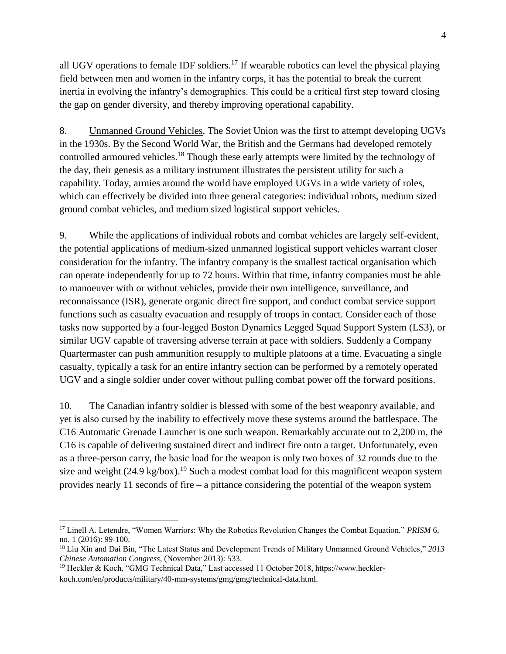all UGV operations to female IDF soldiers.<sup>17</sup> If wearable robotics can level the physical playing field between men and women in the infantry corps, it has the potential to break the current inertia in evolving the infantry's demographics. This could be a critical first step toward closing the gap on gender diversity, and thereby improving operational capability.

8. Unmanned Ground Vehicles. The Soviet Union was the first to attempt developing UGVs in the 1930s. By the Second World War, the British and the Germans had developed remotely controlled armoured vehicles.<sup>18</sup> Though these early attempts were limited by the technology of the day, their genesis as a military instrument illustrates the persistent utility for such a capability. Today, armies around the world have employed UGVs in a wide variety of roles, which can effectively be divided into three general categories: individual robots, medium sized ground combat vehicles, and medium sized logistical support vehicles.

9. While the applications of individual robots and combat vehicles are largely self-evident, the potential applications of medium-sized unmanned logistical support vehicles warrant closer consideration for the infantry. The infantry company is the smallest tactical organisation which can operate independently for up to 72 hours. Within that time, infantry companies must be able to manoeuver with or without vehicles, provide their own intelligence, surveillance, and reconnaissance (ISR), generate organic direct fire support, and conduct combat service support functions such as casualty evacuation and resupply of troops in contact. Consider each of those tasks now supported by a four-legged Boston Dynamics Legged Squad Support System (LS3), or similar UGV capable of traversing adverse terrain at pace with soldiers. Suddenly a Company Quartermaster can push ammunition resupply to multiple platoons at a time. Evacuating a single casualty, typically a task for an entire infantry section can be performed by a remotely operated UGV and a single soldier under cover without pulling combat power off the forward positions.

10. The Canadian infantry soldier is blessed with some of the best weaponry available, and yet is also cursed by the inability to effectively move these systems around the battlespace. The C16 Automatic Grenade Launcher is one such weapon. Remarkably accurate out to 2,200 m, the C16 is capable of delivering sustained direct and indirect fire onto a target. Unfortunately, even as a three-person carry, the basic load for the weapon is only two boxes of 32 rounds due to the size and weight  $(24.9 \text{ kg/box})$ .<sup>19</sup> Such a modest combat load for this magnificent weapon system provides nearly 11 seconds of fire – a pittance considering the potential of the weapon system

 $\overline{\phantom{a}}$ 

<sup>17</sup> Linell A. Letendre, "Women Warriors: Why the Robotics Revolution Changes the Combat Equation." *PRISM* 6, no. 1 (2016): 99-100.

<sup>18</sup> Liu Xin and Dai Bin, "The Latest Status and Development Trends of Military Unmanned Ground Vehicles," *2013 Chinese Automation Congress,* (November 2013): 533.

<sup>&</sup>lt;sup>19</sup> Heckler & Koch, "GMG Technical Data," Last accessed 11 October 2018, https://www.hecklerkoch.com/en/products/military/40-mm-systems/gmg/gmg/technical-data.html.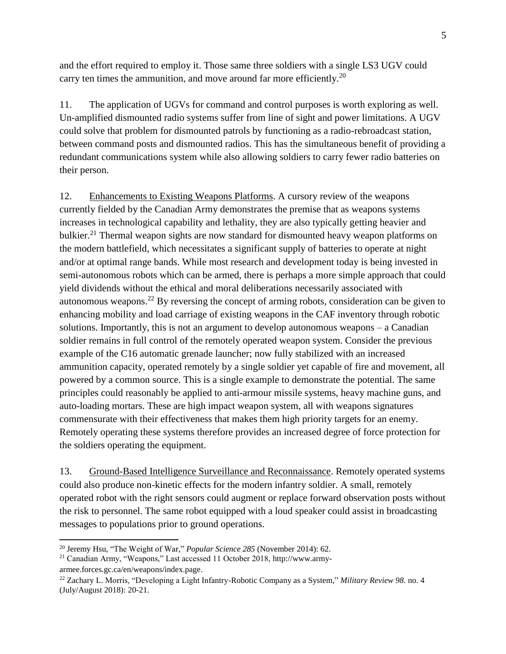and the effort required to employ it. Those same three soldiers with a single LS3 UGV could carry ten times the ammunition, and move around far more efficiently.<sup>20</sup>

11. The application of UGVs for command and control purposes is worth exploring as well. Un-amplified dismounted radio systems suffer from line of sight and power limitations. A UGV could solve that problem for dismounted patrols by functioning as a radio-rebroadcast station, between command posts and dismounted radios. This has the simultaneous benefit of providing a redundant communications system while also allowing soldiers to carry fewer radio batteries on their person.

12. Enhancements to Existing Weapons Platforms. A cursory review of the weapons currently fielded by the Canadian Army demonstrates the premise that as weapons systems increases in technological capability and lethality, they are also typically getting heavier and bulkier.<sup>21</sup> Thermal weapon sights are now standard for dismounted heavy weapon platforms on the modern battlefield, which necessitates a significant supply of batteries to operate at night and/or at optimal range bands. While most research and development today is being invested in semi-autonomous robots which can be armed, there is perhaps a more simple approach that could yield dividends without the ethical and moral deliberations necessarily associated with autonomous weapons.<sup>22</sup> By reversing the concept of arming robots, consideration can be given to enhancing mobility and load carriage of existing weapons in the CAF inventory through robotic solutions. Importantly, this is not an argument to develop autonomous weapons – a Canadian soldier remains in full control of the remotely operated weapon system. Consider the previous example of the C16 automatic grenade launcher; now fully stabilized with an increased ammunition capacity, operated remotely by a single soldier yet capable of fire and movement, all powered by a common source. This is a single example to demonstrate the potential. The same principles could reasonably be applied to anti-armour missile systems, heavy machine guns, and auto-loading mortars. These are high impact weapon system, all with weapons signatures commensurate with their effectiveness that makes them high priority targets for an enemy. Remotely operating these systems therefore provides an increased degree of force protection for the soldiers operating the equipment.

13. Ground-Based Intelligence Surveillance and Reconnaissance. Remotely operated systems could also produce non-kinetic effects for the modern infantry soldier. A small, remotely operated robot with the right sensors could augment or replace forward observation posts without the risk to personnel. The same robot equipped with a loud speaker could assist in broadcasting messages to populations prior to ground operations.

 $\overline{a}$ 

<sup>20</sup> Jeremy Hsu, "The Weight of War," *Popular Science 285* (November 2014): 62.

<sup>21</sup> Canadian Army, "Weapons," Last accessed 11 October 2018, http://www.army-

armee.forces.gc.ca/en/weapons/index.page.

<sup>22</sup> Zachary L. Morris, "Developing a Light Infantry-Robotic Company as a System," *Military Review 98.* no. 4 (July/August 2018): 20-21.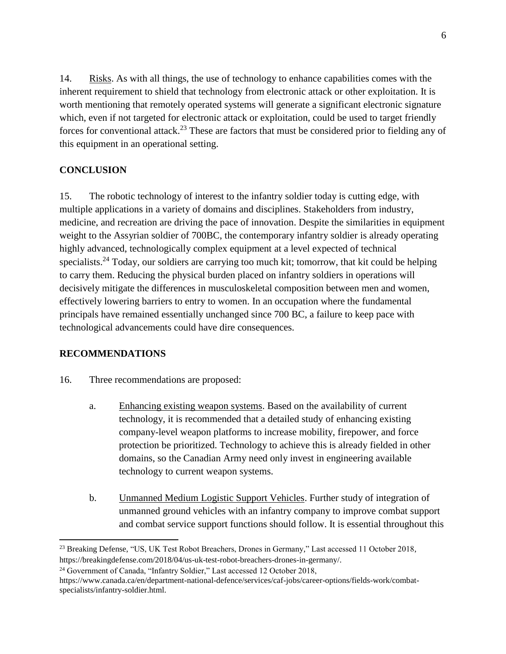14. Risks. As with all things, the use of technology to enhance capabilities comes with the inherent requirement to shield that technology from electronic attack or other exploitation. It is worth mentioning that remotely operated systems will generate a significant electronic signature which, even if not targeted for electronic attack or exploitation, could be used to target friendly forces for conventional attack.<sup>23</sup> These are factors that must be considered prior to fielding any of this equipment in an operational setting.

## **CONCLUSION**

15. The robotic technology of interest to the infantry soldier today is cutting edge, with multiple applications in a variety of domains and disciplines. Stakeholders from industry, medicine, and recreation are driving the pace of innovation. Despite the similarities in equipment weight to the Assyrian soldier of 700BC, the contemporary infantry soldier is already operating highly advanced, technologically complex equipment at a level expected of technical specialists.<sup>24</sup> Today, our soldiers are carrying too much kit; tomorrow, that kit could be helping to carry them. Reducing the physical burden placed on infantry soldiers in operations will decisively mitigate the differences in musculoskeletal composition between men and women, effectively lowering barriers to entry to women. In an occupation where the fundamental principals have remained essentially unchanged since 700 BC, a failure to keep pace with technological advancements could have dire consequences.

### **RECOMMENDATIONS**

 $\overline{a}$ 

- 16. Three recommendations are proposed:
	- a. Enhancing existing weapon systems. Based on the availability of current technology, it is recommended that a detailed study of enhancing existing company-level weapon platforms to increase mobility, firepower, and force protection be prioritized. Technology to achieve this is already fielded in other domains, so the Canadian Army need only invest in engineering available technology to current weapon systems.
	- b. Unmanned Medium Logistic Support Vehicles. Further study of integration of unmanned ground vehicles with an infantry company to improve combat support and combat service support functions should follow. It is essential throughout this

<sup>&</sup>lt;sup>23</sup> Breaking Defense, "US, UK Test Robot Breachers, Drones in Germany," Last accessed 11 October 2018, https://breakingdefense.com/2018/04/us-uk-test-robot-breachers-drones-in-germany/.

<sup>&</sup>lt;sup>24</sup> Government of Canada, "Infantry Soldier," Last accessed 12 October 2018,

https://www.canada.ca/en/department-national-defence/services/caf-jobs/career-options/fields-work/combatspecialists/infantry-soldier.html.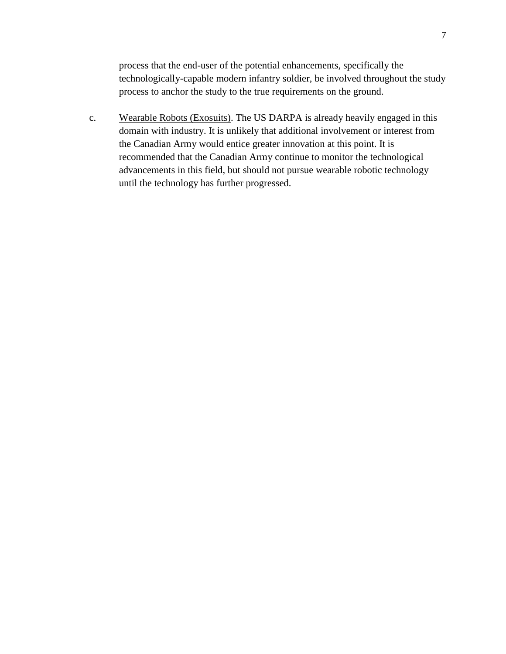process that the end-user of the potential enhancements, specifically the technologically-capable modern infantry soldier, be involved throughout the study process to anchor the study to the true requirements on the ground.

c. Wearable Robots (Exosuits). The US DARPA is already heavily engaged in this domain with industry. It is unlikely that additional involvement or interest from the Canadian Army would entice greater innovation at this point. It is recommended that the Canadian Army continue to monitor the technological advancements in this field, but should not pursue wearable robotic technology until the technology has further progressed.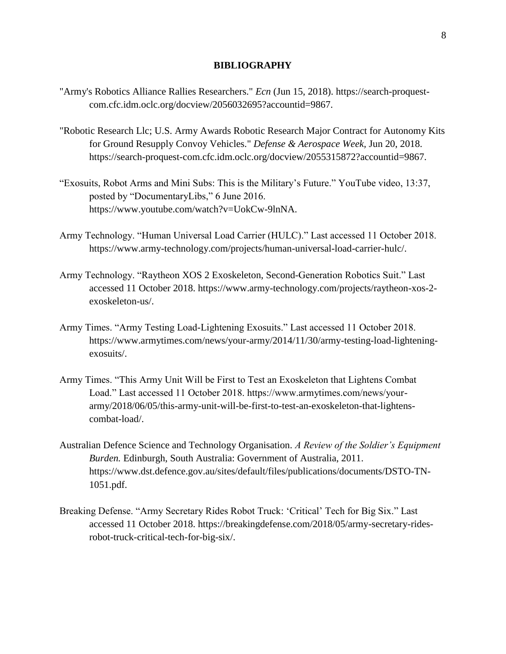#### **BIBLIOGRAPHY**

- "Army's Robotics Alliance Rallies Researchers." *Ecn* (Jun 15, 2018). https://search-proquestcom.cfc.idm.oclc.org/docview/2056032695?accountid=9867.
- "Robotic Research Llc; U.S. Army Awards Robotic Research Major Contract for Autonomy Kits for Ground Resupply Convoy Vehicles." *Defense & Aerospace Week,* Jun 20, 2018. https://search-proquest-com.cfc.idm.oclc.org/docview/2055315872?accountid=9867.
- "Exosuits, Robot Arms and Mini Subs: This is the Military's Future." YouTube video, 13:37, posted by "DocumentaryLibs," 6 June 2016. https://www.youtube.com/watch?v=UokCw-9lnNA.
- Army Technology. "Human Universal Load Carrier (HULC)." Last accessed 11 October 2018. https://www.army-technology.com/projects/human-universal-load-carrier-hulc/.
- Army Technology. "Raytheon XOS 2 Exoskeleton, Second-Generation Robotics Suit." Last accessed 11 October 2018. https://www.army-technology.com/projects/raytheon-xos-2 exoskeleton-us/.
- Army Times. "Army Testing Load-Lightening Exosuits." Last accessed 11 October 2018. https://www.armytimes.com/news/your-army/2014/11/30/army-testing-load-lighteningexosuits/.
- Army Times. "This Army Unit Will be First to Test an Exoskeleton that Lightens Combat Load." Last accessed 11 October 2018. https://www.armytimes.com/news/yourarmy/2018/06/05/this-army-unit-will-be-first-to-test-an-exoskeleton-that-lightenscombat-load/.
- Australian Defence Science and Technology Organisation. *A Review of the Soldier's Equipment Burden.* Edinburgh, South Australia: Government of Australia, 2011. https://www.dst.defence.gov.au/sites/default/files/publications/documents/DSTO-TN-1051.pdf.
- Breaking Defense. "Army Secretary Rides Robot Truck: 'Critical' Tech for Big Six." Last accessed 11 October 2018. https://breakingdefense.com/2018/05/army-secretary-ridesrobot-truck-critical-tech-for-big-six/.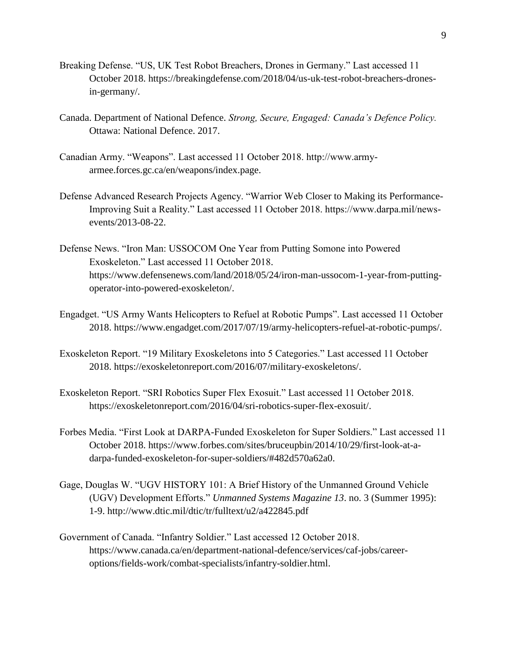- Breaking Defense. "US, UK Test Robot Breachers, Drones in Germany." Last accessed 11 October 2018. https://breakingdefense.com/2018/04/us-uk-test-robot-breachers-dronesin-germany/.
- Canada. Department of National Defence. *Strong, Secure, Engaged: Canada's Defence Policy.* Ottawa: National Defence. 2017.
- Canadian Army. "Weapons". Last accessed 11 October 2018. http://www.armyarmee.forces.gc.ca/en/weapons/index.page.
- Defense Advanced Research Projects Agency. "Warrior Web Closer to Making its Performance-Improving Suit a Reality." Last accessed 11 October 2018. https://www.darpa.mil/newsevents/2013-08-22.
- Defense News. "Iron Man: USSOCOM One Year from Putting Somone into Powered Exoskeleton." Last accessed 11 October 2018. https://www.defensenews.com/land/2018/05/24/iron-man-ussocom-1-year-from-puttingoperator-into-powered-exoskeleton/.
- Engadget. "US Army Wants Helicopters to Refuel at Robotic Pumps". Last accessed 11 October 2018. https://www.engadget.com/2017/07/19/army-helicopters-refuel-at-robotic-pumps/.
- Exoskeleton Report. "19 Military Exoskeletons into 5 Categories." Last accessed 11 October 2018. https://exoskeletonreport.com/2016/07/military-exoskeletons/.
- Exoskeleton Report. "SRI Robotics Super Flex Exosuit." Last accessed 11 October 2018. https://exoskeletonreport.com/2016/04/sri-robotics-super-flex-exosuit/.
- Forbes Media. "First Look at DARPA-Funded Exoskeleton for Super Soldiers." Last accessed 11 October 2018. https://www.forbes.com/sites/bruceupbin/2014/10/29/first-look-at-adarpa-funded-exoskeleton-for-super-soldiers/#482d570a62a0.
- Gage, Douglas W. "UGV HISTORY 101: A Brief History of the Unmanned Ground Vehicle (UGV) Development Efforts." *Unmanned Systems Magazine 13*. no. 3 (Summer 1995): 1-9. http://www.dtic.mil/dtic/tr/fulltext/u2/a422845.pdf
- Government of Canada. "Infantry Soldier." Last accessed 12 October 2018. https://www.canada.ca/en/department-national-defence/services/caf-jobs/careeroptions/fields-work/combat-specialists/infantry-soldier.html.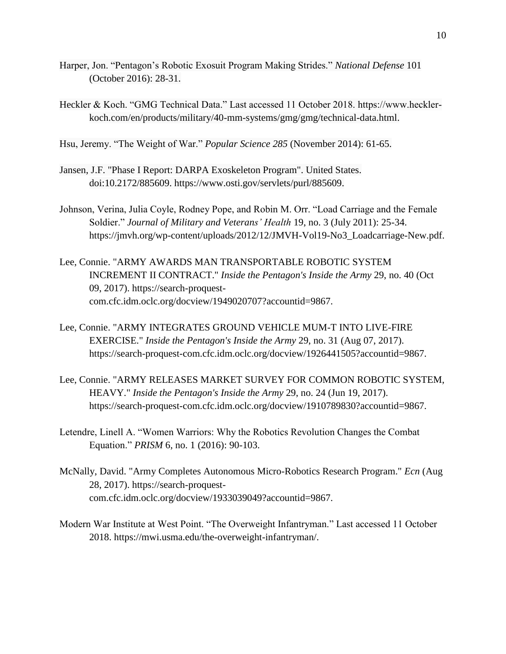- Harper, Jon. "Pentagon's Robotic Exosuit Program Making Strides." *National Defense* 101 (October 2016): 28-31.
- Heckler & Koch. "GMG Technical Data." Last accessed 11 October 2018. https://www.hecklerkoch.com/en/products/military/40-mm-systems/gmg/gmg/technical-data.html.
- Hsu, Jeremy. "The Weight of War." *Popular Science 285* (November 2014): 61-65.
- Jansen, J.F. "Phase I Report: DARPA Exoskeleton Program". United States. doi:10.2172/885609. https://www.osti.gov/servlets/purl/885609.
- Johnson, Verina, Julia Coyle, Rodney Pope, and Robin M. Orr. "Load Carriage and the Female Soldier." *Journal of Military and Veterans' Health* 19, no. 3 (July 2011): 25-34. https://jmvh.org/wp-content/uploads/2012/12/JMVH-Vol19-No3\_Loadcarriage-New.pdf.
- Lee, Connie. "ARMY AWARDS MAN TRANSPORTABLE ROBOTIC SYSTEM INCREMENT II CONTRACT." *Inside the Pentagon's Inside the Army* 29, no. 40 (Oct 09, 2017). https://search-proquestcom.cfc.idm.oclc.org/docview/1949020707?accountid=9867.
- Lee, Connie. "ARMY INTEGRATES GROUND VEHICLE MUM-T INTO LIVE-FIRE EXERCISE." *Inside the Pentagon's Inside the Army* 29, no. 31 (Aug 07, 2017). https://search-proquest-com.cfc.idm.oclc.org/docview/1926441505?accountid=9867.
- Lee, Connie. "ARMY RELEASES MARKET SURVEY FOR COMMON ROBOTIC SYSTEM, HEAVY." *Inside the Pentagon's Inside the Army* 29, no. 24 (Jun 19, 2017). https://search-proquest-com.cfc.idm.oclc.org/docview/1910789830?accountid=9867.
- Letendre, Linell A. "Women Warriors: Why the Robotics Revolution Changes the Combat Equation." *PRISM* 6, no. 1 (2016): 90-103.
- McNally, David. "Army Completes Autonomous Micro-Robotics Research Program." *Ecn* (Aug 28, 2017). https://search-proquestcom.cfc.idm.oclc.org/docview/1933039049?accountid=9867.
- Modern War Institute at West Point. "The Overweight Infantryman." Last accessed 11 October 2018. https://mwi.usma.edu/the-overweight-infantryman/.